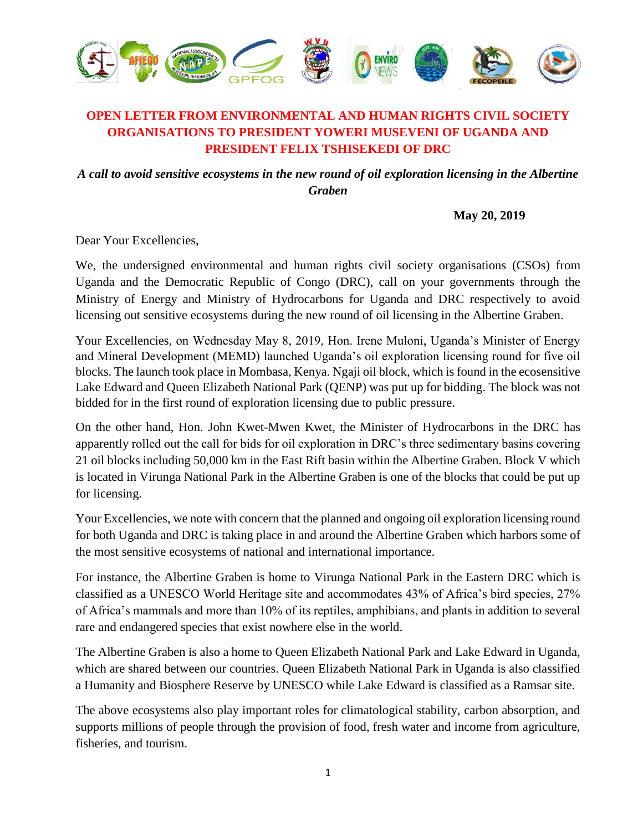

## **OPEN LETTER FROM ENVIRONMENTAL AND HUMAN RIGHTS CIVIL SOCIETY ORGANISATIONS TO PRESIDENT YOWERI MUSEVENI OF UGANDA AND PRESIDENT FELIX TSHISEKEDI OF DRC**

*A call to avoid sensitive ecosystems in the new round of oil exploration licensing in the Albertine Graben*

**May 20, 2019**

Dear Your Excellencies,

We, the undersigned environmental and human rights civil society organisations (CSOs) from Uganda and the Democratic Republic of Congo (DRC), call on your governments through the Ministry of Energy and Ministry of Hydrocarbons for Uganda and DRC respectively to avoid licensing out sensitive ecosystems during the new round of oil licensing in the Albertine Graben.

Your Excellencies, on Wednesday May 8, 2019, Hon. Irene Muloni, Uganda's Minister of Energy and Mineral Development (MEMD) launched Uganda's oil exploration licensing round for five oil blocks. The launch took place in Mombasa, Kenya. Ngaji oil block, which is found in the ecosensitive Lake Edward and Queen Elizabeth National Park (QENP) was put up for bidding. The block was not bidded for in the first round of exploration licensing due to public pressure.

On the other hand, Hon. John Kwet-Mwen Kwet, the Minister of Hydrocarbons in the DRC has apparently rolled out the call for bids for oil exploration in DRC's three sedimentary basins covering 21 oil blocks including 50,000 km in the East Rift basin within the Albertine Graben. Block V which is located in Virunga National Park in the Albertine Graben is one of the blocks that could be put up for licensing.

Your Excellencies, we note with concern that the planned and ongoing oil exploration licensing round for both Uganda and DRC is taking place in and around the Albertine Graben which harbors some of the most sensitive ecosystems of national and international importance.

For instance, the Albertine Graben is home to Virunga National Park in the Eastern DRC which is classified as a UNESCO World Heritage site and accommodates 43% of Africa's bird species, 27% of Africa's mammals and more than 10% of its reptiles, amphibians, and plants in addition to several rare and endangered species that exist nowhere else in the world.

The Albertine Graben is also a home to Queen Elizabeth National Park and Lake Edward in Uganda, which are shared between our countries. Queen Elizabeth National Park in Uganda is also classified a Humanity and Biosphere Reserve by UNESCO while Lake Edward is classified as a Ramsar site.

The above ecosystems also play important roles for climatological stability, carbon absorption, and supports millions of people through the provision of food, fresh water and income from agriculture, fisheries, and tourism.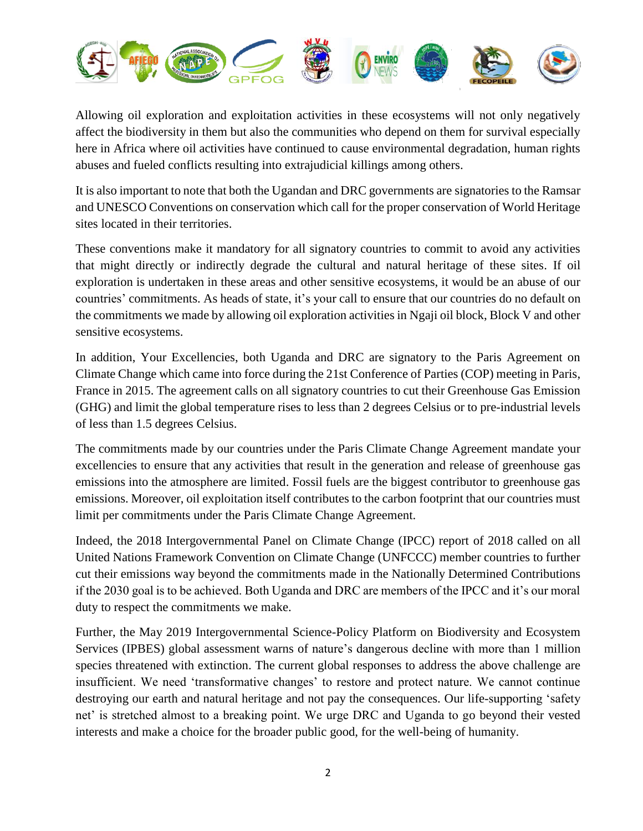

Allowing oil exploration and exploitation activities in these ecosystems will not only negatively affect the biodiversity in them but also the communities who depend on them for survival especially here in Africa where oil activities have continued to cause environmental degradation, human rights abuses and fueled conflicts resulting into extrajudicial killings among others.

It is also important to note that both the Ugandan and DRC governments are signatories to the Ramsar and UNESCO Conventions on conservation which call for the proper conservation of World Heritage sites located in their territories.

These conventions make it mandatory for all signatory countries to commit to avoid any activities that might directly or indirectly degrade the cultural and natural heritage of these sites. If oil exploration is undertaken in these areas and other sensitive ecosystems, it would be an abuse of our countries' commitments. As heads of state, it's your call to ensure that our countries do no default on the commitments we made by allowing oil exploration activities in Ngaji oil block, Block V and other sensitive ecosystems.

In addition, Your Excellencies, both Uganda and DRC are signatory to the Paris Agreement on Climate Change which came into force during the 21st Conference of Parties (COP) meeting in Paris, France in 2015. The agreement calls on all signatory countries to cut their Greenhouse Gas Emission (GHG) and limit the global temperature rises to less than 2 degrees Celsius or to pre-industrial levels of less than 1.5 degrees Celsius.

The commitments made by our countries under the Paris Climate Change Agreement mandate your excellencies to ensure that any activities that result in the generation and release of greenhouse gas emissions into the atmosphere are limited. Fossil fuels are the biggest contributor to greenhouse gas emissions. Moreover, oil exploitation itself contributes to the carbon footprint that our countries must limit per commitments under the Paris Climate Change Agreement.

Indeed, the 2018 Intergovernmental Panel on Climate Change (IPCC) report of 2018 called on all United Nations Framework Convention on Climate Change (UNFCCC) member countries to further cut their emissions way beyond the commitments made in the Nationally Determined Contributions if the 2030 goal is to be achieved. Both Uganda and DRC are members of the IPCC and it's our moral duty to respect the commitments we make.

Further, the May 2019 Intergovernmental Science-Policy Platform on Biodiversity and Ecosystem Services (IPBES) global assessment warns of nature's dangerous decline with more than 1 million species threatened with extinction. The current global responses to address the above challenge are insufficient. We need 'transformative changes' to restore and protect nature. We cannot continue destroying our earth and natural heritage and not pay the consequences. Our life-supporting 'safety net' is stretched almost to a breaking point. We urge DRC and Uganda to go beyond their vested interests and make a choice for the broader public good, for the well-being of humanity.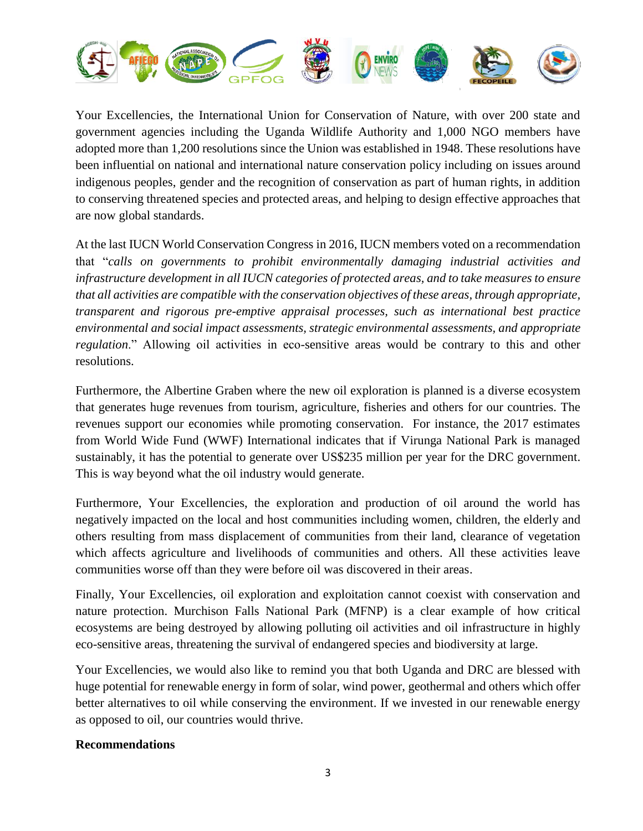

Your Excellencies, the International Union for Conservation of Nature, with over 200 state and government agencies including the Uganda Wildlife Authority and 1,000 NGO members have adopted more than 1,200 resolutions since the Union was established in 1948. These resolutions have been influential on national and international nature conservation policy including on issues around indigenous peoples, gender and the recognition of conservation as part of human rights, in addition to conserving threatened species and protected areas, and helping to design effective approaches that are now global standards.

At the last IUCN World Conservation Congress in 2016, IUCN members voted on a recommendation that "*calls on governments to prohibit environmentally damaging industrial activities and infrastructure development in all IUCN categories of protected areas, and to take measures to ensure that all activities are compatible with the conservation objectives of these areas, through appropriate, transparent and rigorous pre-emptive appraisal processes, such as international best practice environmental and social impact assessments, strategic environmental assessments, and appropriate regulation*." Allowing oil activities in eco-sensitive areas would be contrary to this and other resolutions.

Furthermore, the Albertine Graben where the new oil exploration is planned is a diverse ecosystem that generates huge revenues from tourism, agriculture, fisheries and others for our countries. The revenues support our economies while promoting conservation. For instance, the 2017 estimates from World Wide Fund (WWF) International indicates that if Virunga National Park is managed sustainably, it has the potential to generate over US\$235 million per year for the DRC government. This is way beyond what the oil industry would generate.

Furthermore, Your Excellencies, the exploration and production of oil around the world has negatively impacted on the local and host communities including women, children, the elderly and others resulting from mass displacement of communities from their land, clearance of vegetation which affects agriculture and livelihoods of communities and others. All these activities leave communities worse off than they were before oil was discovered in their areas.

Finally, Your Excellencies, oil exploration and exploitation cannot coexist with conservation and nature protection. Murchison Falls National Park (MFNP) is a clear example of how critical ecosystems are being destroyed by allowing polluting oil activities and oil infrastructure in highly eco-sensitive areas, threatening the survival of endangered species and biodiversity at large.

Your Excellencies, we would also like to remind you that both Uganda and DRC are blessed with huge potential for renewable energy in form of solar, wind power, geothermal and others which offer better alternatives to oil while conserving the environment. If we invested in our renewable energy as opposed to oil, our countries would thrive.

#### **Recommendations**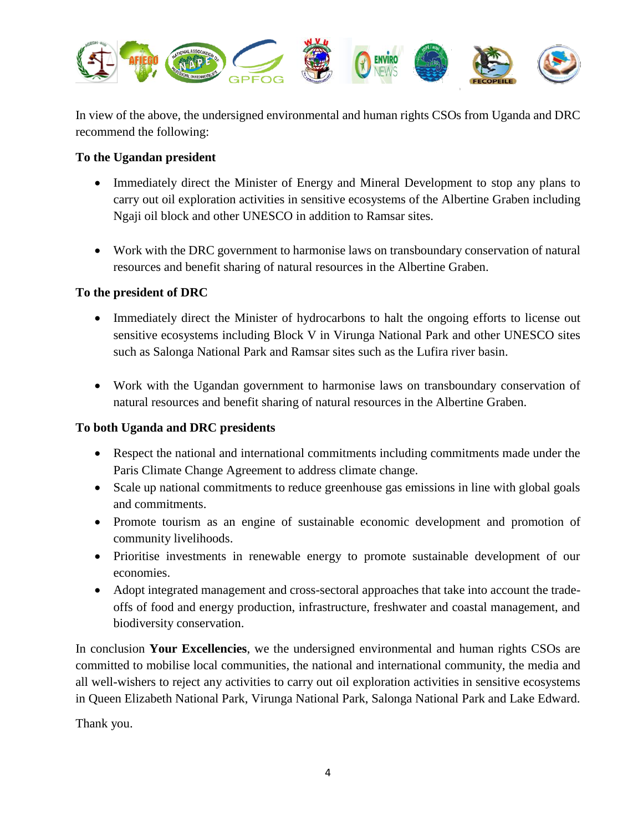

In view of the above, the undersigned environmental and human rights CSOs from Uganda and DRC recommend the following:

#### **To the Ugandan president**

- Immediately direct the Minister of Energy and Mineral Development to stop any plans to carry out oil exploration activities in sensitive ecosystems of the Albertine Graben including Ngaji oil block and other UNESCO in addition to Ramsar sites.
- Work with the DRC government to harmonise laws on transboundary conservation of natural resources and benefit sharing of natural resources in the Albertine Graben.

### **To the president of DRC**

- Immediately direct the Minister of hydrocarbons to halt the ongoing efforts to license out sensitive ecosystems including Block V in Virunga National Park and other UNESCO sites such as Salonga National Park and Ramsar sites such as the Lufira river basin.
- Work with the Ugandan government to harmonise laws on transboundary conservation of natural resources and benefit sharing of natural resources in the Albertine Graben.

### **To both Uganda and DRC presidents**

- Respect the national and international commitments including commitments made under the Paris Climate Change Agreement to address climate change.
- Scale up national commitments to reduce greenhouse gas emissions in line with global goals and commitments.
- Promote tourism as an engine of sustainable economic development and promotion of community livelihoods.
- Prioritise investments in renewable energy to promote sustainable development of our economies.
- Adopt integrated management and cross-sectoral approaches that take into account the tradeoffs of food and energy production, infrastructure, freshwater and coastal management, and biodiversity conservation.

In conclusion **Your Excellencies**, we the undersigned environmental and human rights CSOs are committed to mobilise local communities, the national and international community, the media and all well-wishers to reject any activities to carry out oil exploration activities in sensitive ecosystems in Queen Elizabeth National Park, Virunga National Park, Salonga National Park and Lake Edward.

Thank you.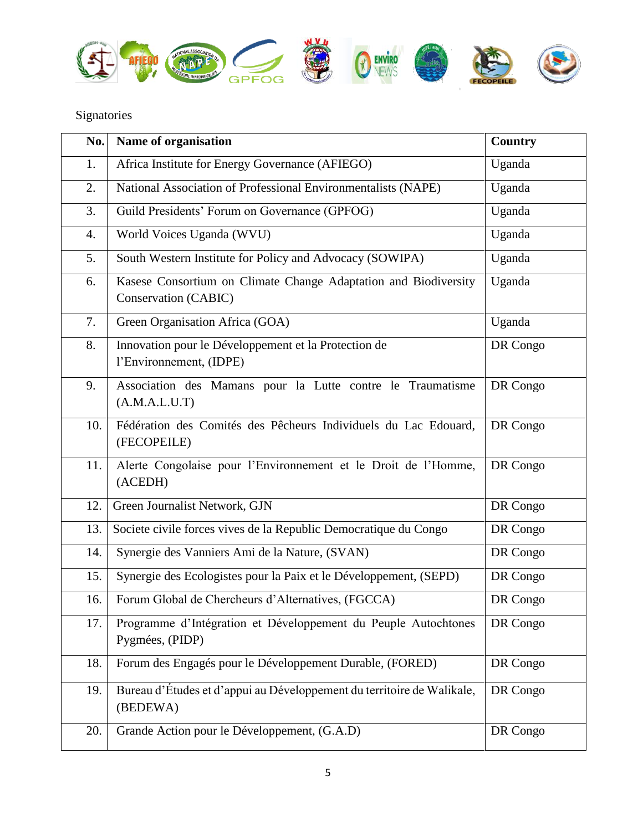

# Signatories

| No. | Name of organisation                                                                    | Country  |
|-----|-----------------------------------------------------------------------------------------|----------|
| 1.  | Africa Institute for Energy Governance (AFIEGO)                                         | Uganda   |
| 2.  | National Association of Professional Environmentalists (NAPE)                           | Uganda   |
| 3.  | Guild Presidents' Forum on Governance (GPFOG)                                           | Uganda   |
| 4.  | World Voices Uganda (WVU)                                                               | Uganda   |
| 5.  | South Western Institute for Policy and Advocacy (SOWIPA)                                | Uganda   |
| 6.  | Kasese Consortium on Climate Change Adaptation and Biodiversity<br>Conservation (CABIC) | Uganda   |
| 7.  | Green Organisation Africa (GOA)                                                         | Uganda   |
| 8.  | Innovation pour le Développement et la Protection de<br>l'Environnement, (IDPE)         | DR Congo |
| 9.  | Association des Mamans pour la Lutte contre le Traumatisme<br>(A.M.A.L.U.T)             | DR Congo |
| 10. | Fédération des Comités des Pêcheurs Individuels du Lac Edouard,<br>(FECOPEILE)          | DR Congo |
| 11. | Alerte Congolaise pour l'Environnement et le Droit de l'Homme,<br>(ACEDH)               | DR Congo |
| 12. | Green Journalist Network, GJN                                                           | DR Congo |
| 13. | Societe civile forces vives de la Republic Democratique du Congo                        | DR Congo |
| 14. | Synergie des Vanniers Ami de la Nature, (SVAN)                                          | DR Congo |
| 15. | Synergie des Ecologistes pour la Paix et le Développement, (SEPD)                       | DR Congo |
| 16. | Forum Global de Chercheurs d'Alternatives, (FGCCA)                                      | DR Congo |
| 17. | Programme d'Intégration et Développement du Peuple Autochtones<br>Pygmées, (PIDP)       | DR Congo |
| 18. | Forum des Engagés pour le Développement Durable, (FORED)                                | DR Congo |
| 19. | Bureau d'Études et d'appui au Développement du territoire de Walikale,<br>(BEDEWA)      | DR Congo |
| 20. | Grande Action pour le Développement, (G.A.D)                                            | DR Congo |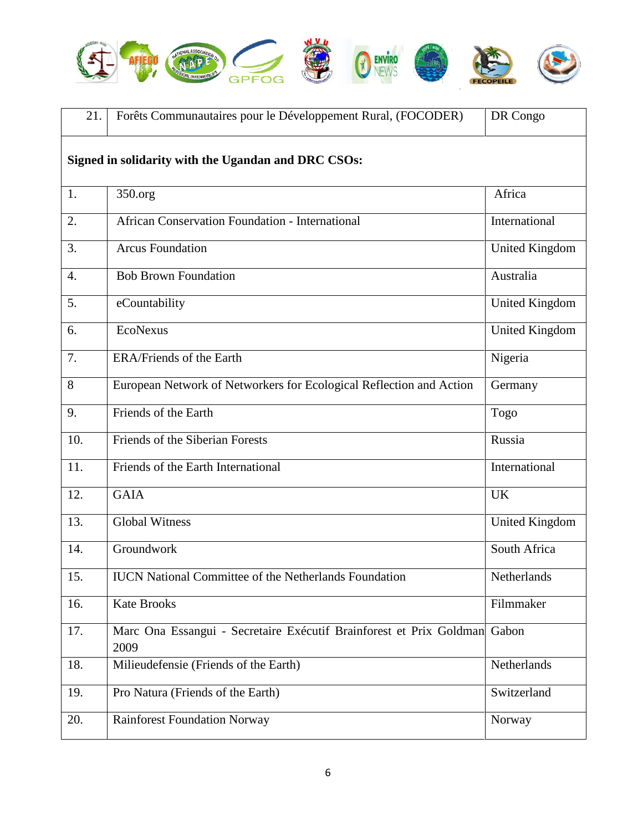

| 21.                                                 | Forêts Communautaires pour le Développement Rural, (FOCODER)                      | DR Congo              |  |
|-----------------------------------------------------|-----------------------------------------------------------------------------------|-----------------------|--|
| Signed in solidarity with the Ugandan and DRC CSOs: |                                                                                   |                       |  |
| 1.                                                  | 350.org                                                                           | Africa                |  |
| 2.                                                  | <b>African Conservation Foundation - International</b>                            | International         |  |
| 3.                                                  | <b>Arcus Foundation</b>                                                           | <b>United Kingdom</b> |  |
| $\overline{4}$ .                                    | <b>Bob Brown Foundation</b>                                                       | Australia             |  |
| 5.                                                  | eCountability                                                                     | United Kingdom        |  |
| 6.                                                  | EcoNexus                                                                          | <b>United Kingdom</b> |  |
| 7.                                                  | ERA/Friends of the Earth                                                          | Nigeria               |  |
| 8                                                   | European Network of Networkers for Ecological Reflection and Action               | Germany               |  |
| 9.                                                  | Friends of the Earth                                                              | Togo                  |  |
| 10.                                                 | Friends of the Siberian Forests                                                   | Russia                |  |
| 11.                                                 | Friends of the Earth International                                                | International         |  |
| 12.                                                 | <b>GAIA</b>                                                                       | <b>UK</b>             |  |
| 13.                                                 | <b>Global Witness</b>                                                             | <b>United Kingdom</b> |  |
| 14.                                                 | Groundwork                                                                        | South Africa          |  |
| 15.                                                 | <b>IUCN</b> National Committee of the Netherlands Foundation                      | Netherlands           |  |
| 16.                                                 | <b>Kate Brooks</b>                                                                | Filmmaker             |  |
| 17.                                                 | Marc Ona Essangui - Secretaire Exécutif Brainforest et Prix Goldman Gabon<br>2009 |                       |  |
| 18.                                                 | Milieudefensie (Friends of the Earth)                                             | Netherlands           |  |
| 19.                                                 | Pro Natura (Friends of the Earth)                                                 | Switzerland           |  |
| 20.                                                 | <b>Rainforest Foundation Norway</b>                                               | Norway                |  |